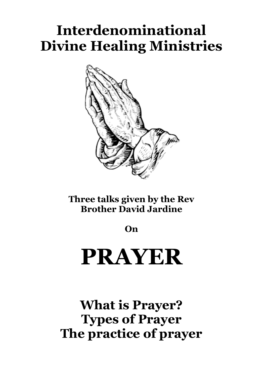## **Interdenominational Divine Healing Ministries**



**Three talks given by the Rev Brother David Jardine**

**On**

# **PRAYER**

**What is Prayer? Types of Prayer The practice of prayer**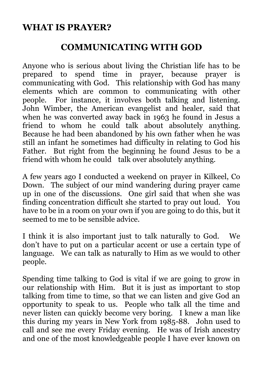## **WHAT IS PRAYER?**

#### **COMMUNICATING WITH GOD**

Anyone who is serious about living the Christian life has to be prepared to spend time in prayer, because prayer is communicating with God. This relationship with God has many elements which are common to communicating with other people. For instance, it involves both talking and listening. John Wimber, the American evangelist and healer, said that when he was converted away back in 1963 he found in Jesus a friend to whom he could talk about absolutely anything. Because he had been abandoned by his own father when he was still an infant he sometimes had difficulty in relating to God his Father. But right from the beginning he found Jesus to be a friend with whom he could talk over absolutely anything.

A few years ago I conducted a weekend on prayer in Kilkeel, Co Down. The subject of our mind wandering during prayer came up in one of the discussions. One girl said that when she was finding concentration difficult she started to pray out loud. You have to be in a room on your own if you are going to do this, but it seemed to me to be sensible advice.

I think it is also important just to talk naturally to God. We don't have to put on a particular accent or use a certain type of language. We can talk as naturally to Him as we would to other people.

Spending time talking to God is vital if we are going to grow in our relationship with Him. But it is just as important to stop talking from time to time, so that we can listen and give God an opportunity to speak to us. People who talk all the time and never listen can quickly become very boring. I knew a man like this during my years in New York from  $1985-88$ . John used to call and see me every Friday evening. He was of Irish ancestry and one of the most knowledgeable people I have ever known on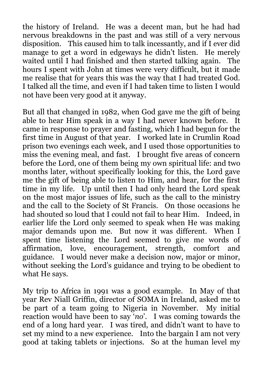the history of Ireland. He was a decent man, but he had had nervous breakdowns in the past and was still of a very nervous disposition. This caused him to talk incessantly, and if I ever did manage to get a word in edgeways he didn't listen. He merely waited until I had finished and then started talking again. The hours I spent with John at times were very difficult, but it made me realise that for years this was the way that I had treated God. I talked all the time, and even if I had taken time to listen I would not have been very good at it anyway.

But all that changed in 1982, when God gave me the gift of being able to hear Him speak in a way I had never known before. It came in response to prayer and fasting, which I had begun for the first time in August of that year. I worked late in Crumlin Road prison two evenings each week, and I used those opportunities to miss the evening meal, and fast. I brought five areas of concern before the Lord, one of them being my own spiritual life: and two months later, without specifically looking for this, the Lord gave me the gift of being able to listen to Him, and hear, for the first time in my life. Up until then I had only heard the Lord speak on the most major issues of life, such as the call to the ministry and the call to the Society of St Francis. On those occasions he had shouted so loud that I could not fail to hear Him. Indeed, in earlier life the Lord only seemed to speak when He was making major demands upon me. But now it was different. When I spent time listening the Lord seemed to give me words of affirmation, love, encouragement, strength, comfort and guidance. I would never make a decision now, major or minor, without seeking the Lord's guidance and trying to be obedient to what He says.

My trip to Africa in 1991 was a good example. In May of that year Rev Niall Griffin, director of SOMA in Ireland, asked me to be part of a team going to Nigeria in November. My initial reaction would have been to say '*no*'. I was coming towards the end of a long hard year. I was tired, and didn't want to have to set my mind to a new experience. Into the bargain I am not very good at taking tablets or injections. So at the human level my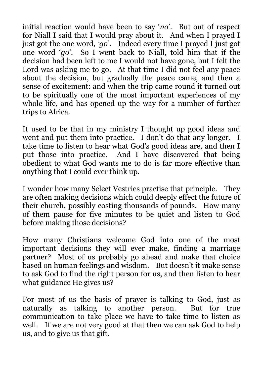initial reaction would have been to say '*no*'. But out of respect for Niall I said that I would pray about it. And when I prayed I just got the one word, '*go*'. Indeed every time I prayed I just got one word '*go*'. So I went back to Niall, told him that if the decision had been left to me I would not have gone, but I felt the Lord was asking me to go. At that time I did not feel any peace about the decision, but gradually the peace came, and then a sense of excitement: and when the trip came round it turned out to be spiritually one of the most important experiences of my whole life, and has opened up the way for a number of further trips to Africa.

It used to be that in my ministry I thought up good ideas and went and put them into practice. I don't do that any longer. I take time to listen to hear what God's good ideas are, and then I put those into practice. And I have discovered that being obedient to what God wants me to do is far more effective than anything that I could ever think up.

I wonder how many Select Vestries practise that principle. They are often making decisions which could deeply effect the future of their church, possibly costing thousands of pounds. How many of them pause for five minutes to be quiet and listen to God before making those decisions?

How many Christians welcome God into one of the most important decisions they will ever make, finding a marriage partner? Most of us probably go ahead and make that choice based on human feelings and wisdom. But doesn't it make sense to ask God to find the right person for us, and then listen to hear what guidance He gives us?

For most of us the basis of prayer is talking to God, just as naturally as talking to another person. But for true communication to take place we have to take time to listen as well. If we are not very good at that then we can ask God to help us, and to give us that gift.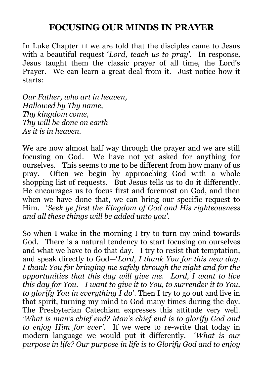## **FOCUSING OUR MINDS IN PRAYER**

In Luke Chapter 11 we are told that the disciples came to Jesus with a beautiful request '*Lord, teach us to pray'*. In response, Jesus taught them the classic prayer of all time, the Lord's Prayer. We can learn a great deal from it. Just notice how it starts:

*Our Father, who art in heaven, Hallowed by Thy name, Thy kingdom come, Thy will be done on earth As it is in heaven.*

We are now almost half way through the prayer and we are still focusing on God. We have not yet asked for anything for ourselves. This seems to me to be different from how many of us pray. Often we begin by approaching God with a whole shopping list of requests. But Jesus tells us to do it differently. He encourages us to focus first and foremost on God, and then when we have done that, we can bring our specific request to Him. '*Seek ye first the Kingdom of God and His righteousness and all these things will be added unto you'*.

So when I wake in the morning I try to turn my mind towards God. There is a natural tendency to start focusing on ourselves and what we have to do that day. I try to resist that temptation, and speak directly to God—'*Lord, I thank You for this new day. I thank You for bringing me safely through the night and for the opportunities that this day will give me. Lord, I want to live this day for You. I want to give it to You, to surrender it to You, to glorify You in everything I do*'. Then I try to go out and live in that spirit, turning my mind to God many times during the day. The Presbyterian Catechism expresses this attitude very well. '*What is man's chief end? Man's chief end is to glorify God and to enjoy Him for ever'*. If we were to re-write that today in modern language we would put it differently. '*What is our purpose in life? Our purpose in life is to Glorify God and to enjoy*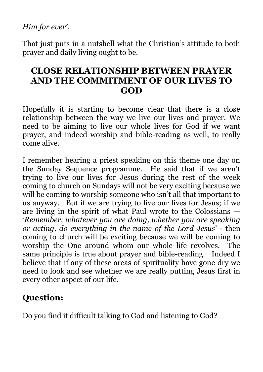That just puts in a nutshell what the Christian's attitude to both prayer and daily living ought to be.

## **CLOSE RELATIONSHIP BETWEEN PRAYER AND THE COMMITMENT OF OUR LIVES TO GOD**

Hopefully it is starting to become clear that there is a close relationship between the way we live our lives and prayer. We need to be aiming to live our whole lives for God if we want prayer, and indeed worship and bible-reading as well, to really come alive.

I remember hearing a priest speaking on this theme one day on the Sunday Sequence programme. He said that if we aren't trying to live our lives for Jesus during the rest of the week coming to church on Sundays will not be very exciting because we will be coming to worship someone who isn't all that important to us anyway. But if we are trying to live our lives for Jesus; if we are living in the spirit of what Paul wrote to the Colossians — '*Remember, whatever you are doing, whether you are speaking or acting, do everything in the name of the Lord Jesus*' - then coming to church will be exciting because we will be coming to worship the One around whom our whole life revolves. The same principle is true about prayer and bible-reading. Indeed I believe that if any of these areas of spirituality have gone dry we need to look and see whether we are really putting Jesus first in every other aspect of our life.

## **Question:**

Do you find it difficult talking to God and listening to God?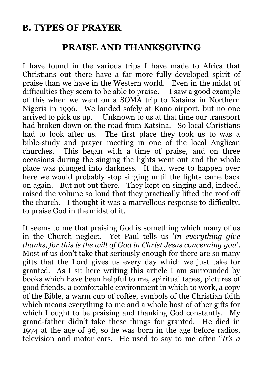## **B. TYPES OF PRAYER**

#### **PRAISE AND THANKSGIVING**

I have found in the various trips I have made to Africa that Christians out there have a far more fully developed spirit of praise than we have in the Western world. Even in the midst of difficulties they seem to be able to praise. I saw a good example of this when we went on a SOMA trip to Katsina in Northern Nigeria in 1996. We landed safely at Kano airport, but no one arrived to pick us up. Unknown to us at that time our transport had broken down on the road from Katsina. So local Christians had to look after us. The first place they took us to was a bible-study and prayer meeting in one of the local Anglican churches. This began with a time of praise, and on three This began with a time of praise, and on three occasions during the singing the lights went out and the whole place was plunged into darkness. If that were to happen over here we would probably stop singing until the lights came back on again. But not out there. They kept on singing and, indeed, raised the volume so loud that they practically lifted the roof off the church. I thought it was a marvellous response to difficulty, to praise God in the midst of it.

It seems to me that praising God is something which many of us in the Church neglect. Yet Paul tells us '*In everything give thanks, for this is the will of God in Christ Jesus concerning you*'. Most of us don't take that seriously enough for there are so many gifts that the Lord gives us every day which we just take for granted. As I sit here writing this article I am surrounded by books which have been helpful to me, spiritual tapes, pictures of good friends, a comfortable environment in which to work, a copy of the Bible, a warm cup of coffee, symbols of the Christian faith which means everything to me and a whole host of other gifts for which I ought to be praising and thanking God constantly. My grand-father didn't take these things for granted. He died in 1974 at the age of 96, so he was born in the age before radios, television and motor cars. He used to say to me often "*It's a*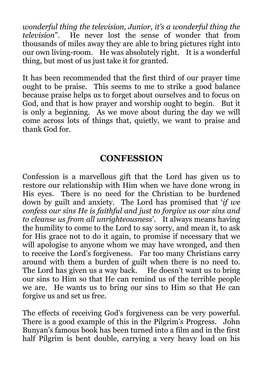*wonderful thing the television, Junior, it's a wonderful thing the television*". He never lost the sense of wonder that from thousands of miles away they are able to bring pictures right into our own living-room. He was absolutely right. It is a wonderful thing, but most of us just take it for granted.

It has been recommended that the first third of our prayer time ought to be praise. This seems to me to strike a good balance because praise helps us to forget about ourselves and to focus on God, and that is how prayer and worship ought to begin. But it is only a beginning. As we move about during the day we will come across lots of things that, quietly, we want to praise and thank God for.

## **CONFESSION**

Confession is a marvellous gift that the Lord has given us to restore our relationship with Him when we have done wrong in His eyes. There is no need for the Christian to be burdened down by guilt and anxiety. The Lord has promised that '*if we confess our sins He is faithful and just to forgive us our sins and to cleanse us from all unrighteousness*'. It always means having the humility to come to the Lord to say sorry, and mean it, to ask for His grace not to do it again, to promise if necessary that we will apologise to anyone whom we may have wronged, and then to receive the Lord's forgiveness. Far too many Christians carry around with them a burden of guilt when there is no need to. The Lord has given us a way back. He doesn't want us to bring our sins to Him so that He can remind us of the terrible people we are. He wants us to bring our sins to Him so that He can forgive us and set us free.

The effects of receiving God's forgiveness can be very powerful. There is a good example of this in the Pilgrim's Progress. John Bunyan's famous book has been turned into a film and in the first half Pilgrim is bent double, carrying a very heavy load on his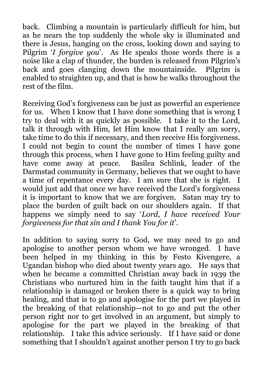back. Climbing a mountain is particularly difficult for him, but as he nears the top suddenly the whole sky is illuminated and there is Jesus, hanging on the cross, looking down and saying to Pilgrim '*I forgive you*'. As He speaks those words there is a noise like a clap of thunder, the burden is released from Pilgrim's back and goes clanging down the mountainside. enabled to straighten up, and that is how he walks throughout the rest of the film.

Receiving God's forgiveness can be just as powerful an experience for us. When I know that I have done something that is wrong I try to deal with it as quickly as possible. I take it to the Lord, talk it through with Him, let Him know that I really am sorry, take time to do this if necessary, and then receive His forgiveness. I could not begin to count the number of times I have gone through this process, when I have gone to Him feeling guilty and have come away at peace. Basilea Schlink, leader of the Darmstad community in Germany, believes that we ought to have a time of repentance every day. I am sure that she is right. I would just add that once we have received the Lord's forgiveness it is important to know that we are forgiven. Satan may try to place the burden of guilt back on our shoulders again. If that happens we simply need to say '*Lord, I have received Your forgiveness for that sin and I thank You for it*'.

In addition to saying sorry to God, we may need to go and apologise to another person whom we have wronged. I have been helped in my thinking in this by Festo Kivengere, a Ugandan bishop who died about twenty years ago. He says that when he became a committed Christian away back in 1939 the Christians who nurtured him in the faith taught him that if a relationship is damaged or broken there is a quick way to bring healing, and that is to go and apologise for the part we played in the breaking of that relationship—not to go and put the other person right nor to get involved in an argument, but simply to apologise for the part we played in the breaking of that relationship. I take this advice seriously. If I have said or done something that I shouldn't against another person I try to go back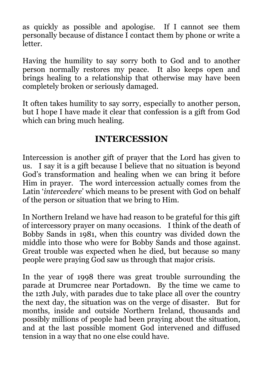as quickly as possible and apologise. If I cannot see them personally because of distance I contact them by phone or write a letter.

Having the humility to say sorry both to God and to another person normally restores my peace. It also keeps open and brings healing to a relationship that otherwise may have been completely broken or seriously damaged.

It often takes humility to say sorry, especially to another person, but I hope I have made it clear that confession is a gift from God which can bring much healing.

## **INTERCESSION**

Intercession is another gift of prayer that the Lord has given to us. I say it is a gift because I believe that no situation is beyond God's transformation and healing when we can bring it before Him in prayer. The word intercession actually comes from the Latin '*intercedere*' which means to be present with God on behalf of the person or situation that we bring to Him.

In Northern Ireland we have had reason to be grateful for this gift of intercessory prayer on many occasions. I think of the death of Bobby Sands in 1981, when this country was divided down the middle into those who were for Bobby Sands and those against. Great trouble was expected when he died, but because so many people were praying God saw us through that major crisis.

In the year of 1998 there was great trouble surrounding the parade at Drumcree near Portadown. By the time we came to the 12th July, with parades due to take place all over the country the next day, the situation was on the verge of disaster. But for months, inside and outside Northern Ireland, thousands and possibly millions of people had been praying about the situation, and at the last possible moment God intervened and diffused tension in a way that no one else could have.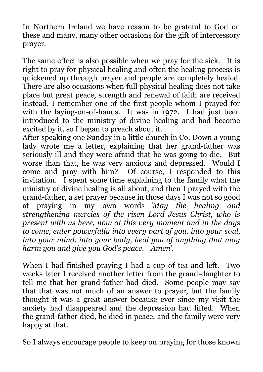In Northern Ireland we have reason to be grateful to God on these and many, many other occasions for the gift of intercessory prayer.

The same effect is also possible when we pray for the sick. It is right to pray for physical healing and often the healing process is quickened up through prayer and people are completely healed. There are also occasions when full physical healing does not take place but great peace, strength and renewal of faith are received instead. I remember one of the first people whom I prayed for with the laying-on-of-hands. It was in 1972. I had just been introduced to the ministry of divine healing and had become excited by it, so I began to preach about it.

After speaking one Sunday in a little church in Co. Down a young lady wrote me a letter, explaining that her grand-father was seriously ill and they were afraid that he was going to die. But worse than that, he was very anxious and depressed. Would I come and pray with him? Of course, I responded to this invitation. I spent some time explaining to the family what the ministry of divine healing is all about, and then I prayed with the grand-father, a set prayer because in those days I was not so good at praying in my own words—*'May the healing and strengthening mercies of the risen Lord Jesus Christ, who is present with us here, now at this very moment and in the days to come, enter powerfully into every part of you, into your soul, into your mind, into your body, heal you of anything that may harm you and give you God's peace. Amen'.*

When I had finished praying I had a cup of tea and left. Two weeks later I received another letter from the grand-daughter to tell me that her grand-father had died. Some people may say that that was not much of an answer to prayer, but the family thought it was a great answer because ever since my visit the anxiety had disappeared and the depression had lifted. When the grand-father died, he died in peace, and the family were very happy at that.

So I always encourage people to keep on praying for those known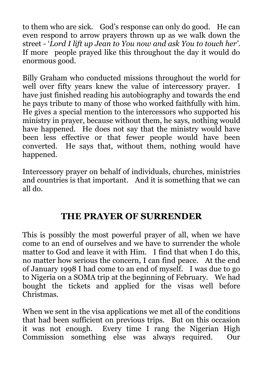to them who are sick. God's response can only do good. He can even respond to arrow prayers thrown up as we walk down the street - '*Lord I lift up Jean to You now and ask You to touch her'*. If more people prayed like this throughout the day it would do enormous good.

Billy Graham who conducted missions throughout the world for well over fifty years knew the value of intercessory prayer. I have just finished reading his autobiography and towards the end he pays tribute to many of those who worked faithfully with him. He gives a special mention to the intercessors who supported his ministry in prayer, because without them, he says, nothing would have happened. He does not say that the ministry would have been less effective or that fewer people would have been converted. He says that, without them, nothing would have happened.

Intercessory prayer on behalf of individuals, churches, ministries and countries is that important. And it is something that we can all do.

## **THE PRAYER OF SURRENDER**

This is possibly the most powerful prayer of all, when we have come to an end of ourselves and we have to surrender the whole matter to God and leave it with Him. I find that when I do this, no matter how serious the concern, I can find peace. At the end of January 1998 I had come to an end of myself. I was due to go to Nigeria on a SOMA trip at the beginning of February. We had bought the tickets and applied for the visas well before Christmas.

When we sent in the visa applications we met all of the conditions that had been sufficient on previous trips. But on this occasion it was not enough. Every time I rang the Nigerian High Commission something else was always required. Our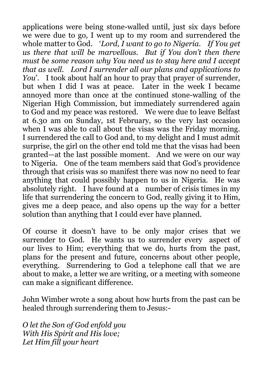applications were being stone-walled until, just six days before we were due to go, I went up to my room and surrendered the whole matter to God. '*Lord, I want to go to Nigeria. If You get us there that will be marvellous. But if You don't then there must be some reason why You need us to stay here and I accept that as well. Lord I surrender all our plans and applications to You*'. I took about half an hour to pray that prayer of surrender, but when I did I was at peace. Later in the week I became annoyed more than once at the continued stone-walling of the Nigerian High Commission, but immediately surrendered again to God and my peace was restored. We were due to leave Belfast at 6.30 am on Sunday, 1st February, so the very last occasion when I was able to call about the visas was the Friday morning. I surrendered the call to God and, to my delight and I must admit surprise, the girl on the other end told me that the visas had been granted—at the last possible moment. And we were on our way to Nigeria. One of the team members said that God's providence through that crisis was so manifest there was now no need to fear anything that could possibly happen to us in Nigeria. He was absolutely right. I have found at a number of crisis times in my life that surrendering the concern to God, really giving it to Him, gives me a deep peace, and also opens up the way for a better solution than anything that I could ever have planned.

Of course it doesn't have to be only major crises that we surrender to God. He wants us to surrender every aspect of our lives to Him; everything that we do, hurts from the past, plans for the present and future, concerns about other people, everything. Surrendering to God a telephone call that we are about to make, a letter we are writing, or a meeting with someone can make a significant difference.

John Wimber wrote a song about how hurts from the past can be healed through surrendering them to Jesus:-

*O let the Son of God enfold you With His Spirit and His love; Let Him fill your heart*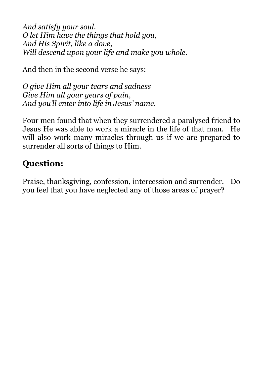*And satisfy your soul. O let Him have the things that hold you, And His Spirit, like a dove, Will descend upon your life and make you whole.*

And then in the second verse he says:

*O give Him all your tears and sadness Give Him all your years of pain, And you'll enter into life in Jesus' name.*

Four men found that when they surrendered a paralysed friend to Jesus He was able to work a miracle in the life of that man. He will also work many miracles through us if we are prepared to surrender all sorts of things to Him.

## **Question:**

Praise, thanksgiving, confession, intercession and surrender. Do you feel that you have neglected any of those areas of prayer?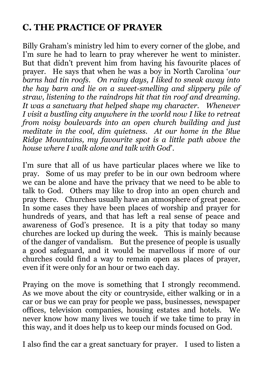## **C. THE PRACTICE OF PRAYER**

Billy Graham's ministry led him to every corner of the globe, and I'm sure he had to learn to pray wherever he went to minister. But that didn't prevent him from having his favourite places of prayer. He says that when he was a boy in North Carolina '*our barns had tin roofs. On rainy days, I liked to sneak away into the hay barn and lie on a sweet-smelling and slippery pile of straw, listening to the raindrops hit that tin roof and dreaming. It was a sanctuary that helped shape my character. Whenever I visit a bustling city anywhere in the world now I like to retreat from noisy boulevards into an open church building and just meditate in the cool, dim quietness. At our home in the Blue Ridge Mountains, my favourite spot is a little path above the house where I walk alone and talk with God*'.

I'm sure that all of us have particular places where we like to pray. Some of us may prefer to be in our own bedroom where we can be alone and have the privacy that we need to be able to talk to God. Others may like to drop into an open church and pray there. Churches usually have an atmosphere of great peace. In some cases they have been places of worship and prayer for hundreds of years, and that has left a real sense of peace and awareness of God's presence. It is a pity that today so many churches are locked up during the week. This is mainly because of the danger of vandalism. But the presence of people is usually a good safeguard, and it would be marvellous if more of our churches could find a way to remain open as places of prayer, even if it were only for an hour or two each day.

Praying on the move is something that I strongly recommend. As we move about the city or countryside, either walking or in a car or bus we can pray for people we pass, businesses, newspaper offices, television companies, housing estates and hotels. We never know how many lives we touch if we take time to pray in this way, and it does help us to keep our minds focused on God.

I also find the car a great sanctuary for prayer. I used to listen a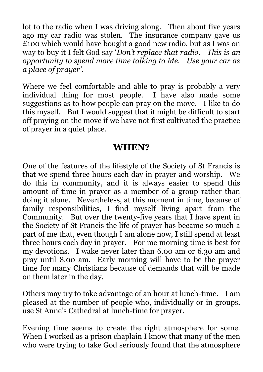lot to the radio when I was driving along. Then about five years ago my car radio was stolen. The insurance company gave us  $\overline{E}$ 100 which would have bought a good new radio, but as I was on way to buy it I felt God say '*Don't replace that radio. This is an opportunity to spend more time talking to Me. Use your car as a place of prayer'*.

Where we feel comfortable and able to pray is probably a very individual thing for most people. I have also made some suggestions as to how people can pray on the move. I like to do this myself. But I would suggest that it might be difficult to start off praying on the move if we have not first cultivated the practice of prayer in a quiet place.

#### **WHEN?**

One of the features of the lifestyle of the Society of St Francis is that we spend three hours each day in prayer and worship. We do this in community, and it is always easier to spend this amount of time in prayer as a member of a group rather than doing it alone. Nevertheless, at this moment in time, because of family responsibilities, I find myself living apart from the Community. But over the twenty-five years that I have spent in the Society of St Francis the life of prayer has became so much a part of me that, even though I am alone now, I still spend at least three hours each day in prayer. For me morning time is best for my devotions. I wake never later than 6.00 am or 6.30 am and pray until 8.00 am. Early morning will have to be the prayer time for many Christians because of demands that will be made on them later in the day.

Others may try to take advantage of an hour at lunch-time. I am pleased at the number of people who, individually or in groups, use St Anne's Cathedral at lunch-time for prayer.

Evening time seems to create the right atmosphere for some. When I worked as a prison chaplain I know that many of the men who were trying to take God seriously found that the atmosphere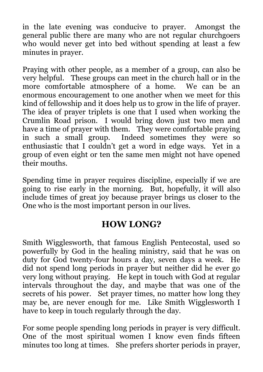in the late evening was conducive to prayer. Amongst the general public there are many who are not regular churchgoers who would never get into bed without spending at least a few minutes in prayer.

Praying with other people, as a member of a group, can also be very helpful. These groups can meet in the church hall or in the more comfortable atmosphere of a home. We can be an enormous encouragement to one another when we meet for this kind of fellowship and it does help us to grow in the life of prayer. The idea of prayer triplets is one that I used when working the Crumlin Road prison. I would bring down just two men and have a time of prayer with them. They were comfortable praying in such a small group. Indeed sometimes they were so enthusiastic that I couldn't get a word in edge ways. Yet in a group of even eight or ten the same men might not have opened their mouths.

Spending time in prayer requires discipline, especially if we are going to rise early in the morning. But, hopefully, it will also include times of great joy because prayer brings us closer to the One who is the most important person in our lives.

## **HOW LONG?**

Smith Wigglesworth, that famous English Pentecostal, used so powerfully by God in the healing ministry, said that he was on duty for God twenty-four hours a day, seven days a week. He did not spend long periods in prayer but neither did he ever go very long without praying. He kept in touch with God at regular intervals throughout the day, and maybe that was one of the secrets of his power. Set prayer times, no matter how long they may be, are never enough for me. Like Smith Wigglesworth I have to keep in touch regularly through the day.

For some people spending long periods in prayer is very difficult. One of the most spiritual women I know even finds fifteen minutes too long at times. She prefers shorter periods in prayer,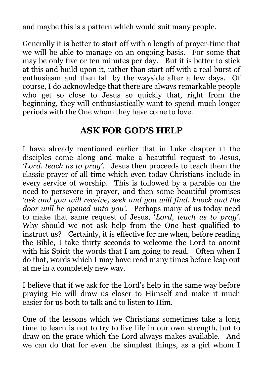and maybe this is a pattern which would suit many people.

Generally it is better to start off with a length of prayer-time that we will be able to manage on an ongoing basis. For some that may be only five or ten minutes per day. But it is better to stick at this and build upon it, rather than start off with a real burst of enthusiasm and then fall by the wayside after a few days. Of course, I do acknowledge that there are always remarkable people who get so close to Jesus so quickly that, right from the beginning, they will enthusiastically want to spend much longer periods with the One whom they have come to love.

#### **ASK FOR GOD'S HELP**

I have already mentioned earlier that in Luke chapter 11 the disciples come along and make a beautiful request to Jesus, '*Lord, teach us to pray'*. Jesus then proceeds to teach them the classic prayer of all time which even today Christians include in every service of worship. This is followed by a parable on the need to persevere in prayer, and then some beautiful promises '*ask and you will receive, seek and you will find, knock and the door will be opened unto you'.* Perhaps many of us today need to make that same request of Jesus, '*Lord, teach us to pray'*. Why should we not ask help from the One best qualified to instruct us? Certainly, it is effective for me when, before reading the Bible, I take thirty seconds to welcome the Lord to anoint with his Spirit the words that I am going to read. Often when I do that, words which I may have read many times before leap out at me in a completely new way.

I believe that if we ask for the Lord's help in the same way before praying He will draw us closer to Himself and make it much easier for us both to talk and to listen to Him.

One of the lessons which we Christians sometimes take a long time to learn is not to try to live life in our own strength, but to draw on the grace which the Lord always makes available. And we can do that for even the simplest things, as a girl whom I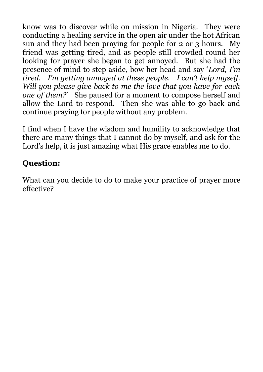know was to discover while on mission in Nigeria. They were conducting a healing service in the open air under the hot African sun and they had been praying for people for 2 or 3 hours. My friend was getting tired, and as people still crowded round her looking for prayer she began to get annoyed. But she had the presence of mind to step aside, bow her head and say '*Lord, I'm tired. I'm getting annoyed at these people. I can't help myself. Will you please give back to me the love that you have for each one of them?*' She paused for a moment to compose herself and allow the Lord to respond. Then she was able to go back and continue praying for people without any problem.

I find when I have the wisdom and humility to acknowledge that there are many things that I cannot do by myself, and ask for the Lord's help, it is just amazing what His grace enables me to do.

#### **Question:**

What can you decide to do to make your practice of prayer more effective?